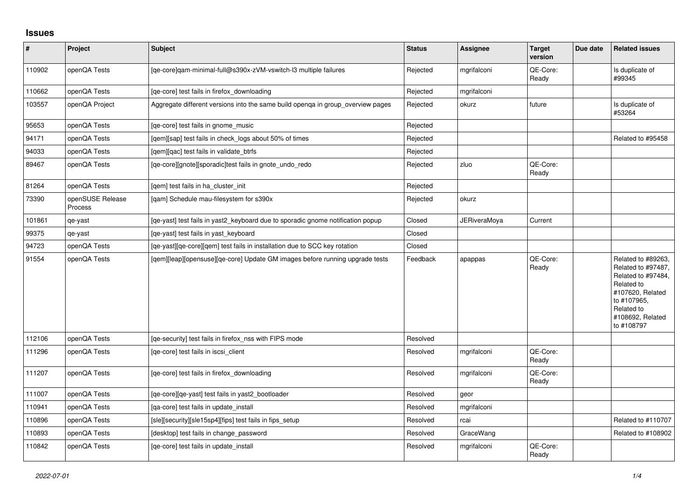## **Issues**

| $\vert$ # | Project                     | <b>Subject</b>                                                                  | <b>Status</b> | <b>Assignee</b>     | <b>Target</b><br>version | Due date | <b>Related issues</b>                                                                                                                                           |
|-----------|-----------------------------|---------------------------------------------------------------------------------|---------------|---------------------|--------------------------|----------|-----------------------------------------------------------------------------------------------------------------------------------------------------------------|
| 110902    | openQA Tests                | [qe-core]qam-minimal-full@s390x-zVM-vswitch-l3 multiple failures                | Rejected      | mgrifalconi         | QE-Core:<br>Ready        |          | Is duplicate of<br>#99345                                                                                                                                       |
| 110662    | openQA Tests                | [qe-core] test fails in firefox_downloading                                     | Rejected      | mgrifalconi         |                          |          |                                                                                                                                                                 |
| 103557    | openQA Project              | Aggregate different versions into the same build openga in group overview pages | Rejected      | okurz               | future                   |          | Is duplicate of<br>#53264                                                                                                                                       |
| 95653     | openQA Tests                | [ge-core] test fails in gnome music                                             | Rejected      |                     |                          |          |                                                                                                                                                                 |
| 94171     | openQA Tests                | [gem][sap] test fails in check logs about 50% of times                          | Rejected      |                     |                          |          | Related to #95458                                                                                                                                               |
| 94033     | openQA Tests                | [gem][gac] test fails in validate btrfs                                         | Rejected      |                     |                          |          |                                                                                                                                                                 |
| 89467     | openQA Tests                | [qe-core][gnote][sporadic]test fails in gnote_undo_redo                         | Rejected      | zluo                | QE-Core:<br>Ready        |          |                                                                                                                                                                 |
| 81264     | openQA Tests                | [gem] test fails in ha cluster init                                             | Rejected      |                     |                          |          |                                                                                                                                                                 |
| 73390     | openSUSE Release<br>Process | [gam] Schedule mau-filesystem for s390x                                         | Rejected      | okurz               |                          |          |                                                                                                                                                                 |
| 101861    | qe-yast                     | [qe-yast] test fails in yast2_keyboard due to sporadic gnome notification popup | Closed        | <b>JERiveraMoya</b> | Current                  |          |                                                                                                                                                                 |
| 99375     | qe-yast                     | [ge-yast] test fails in yast keyboard                                           | Closed        |                     |                          |          |                                                                                                                                                                 |
| 94723     | openQA Tests                | [qe-yast][qe-core][qem] test fails in installation due to SCC key rotation      | Closed        |                     |                          |          |                                                                                                                                                                 |
| 91554     | openQA Tests                | [gem][leap][opensuse][ge-core] Update GM images before running upgrade tests    | Feedback      | apappas             | QE-Core:<br>Ready        |          | Related to #89263,<br>Related to #97487,<br>Related to #97484,<br>Related to<br>#107620, Related<br>to #107965.<br>Related to<br>#108692, Related<br>to #108797 |
| 112106    | openQA Tests                | [ge-security] test fails in firefox nss with FIPS mode                          | Resolved      |                     |                          |          |                                                                                                                                                                 |
| 111296    | openQA Tests                | [ge-core] test fails in iscsi client                                            | Resolved      | mgrifalconi         | QE-Core:<br>Ready        |          |                                                                                                                                                                 |
| 111207    | openQA Tests                | [qe-core] test fails in firefox_downloading                                     | Resolved      | mgrifalconi         | QE-Core:<br>Ready        |          |                                                                                                                                                                 |
| 111007    | openQA Tests                | [qe-core][qe-yast] test fails in yast2_bootloader                               | Resolved      | geor                |                          |          |                                                                                                                                                                 |
| 110941    | openQA Tests                | [ga-core] test fails in update install                                          | Resolved      | mgrifalconi         |                          |          |                                                                                                                                                                 |
| 110896    | openQA Tests                | [sle][security][sle15sp4][fips] test fails in fips_setup                        | Resolved      | rcai                |                          |          | Related to #110707                                                                                                                                              |
| 110893    | openQA Tests                | [desktop] test fails in change password                                         | Resolved      | GraceWang           |                          |          | Related to #108902                                                                                                                                              |
| 110842    | openQA Tests                | [ge-core] test fails in update install                                          | Resolved      | mgrifalconi         | QE-Core:<br>Ready        |          |                                                                                                                                                                 |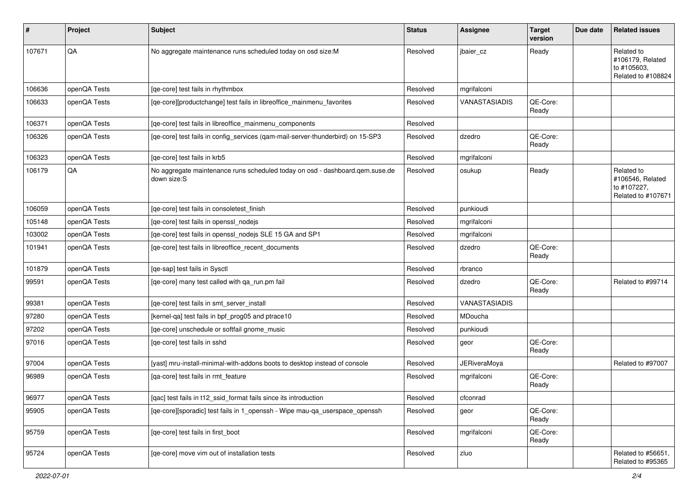| #      | Project      | <b>Subject</b>                                                                              | <b>Status</b> | Assignee             | <b>Target</b><br>version | Due date | <b>Related issues</b>                                               |
|--------|--------------|---------------------------------------------------------------------------------------------|---------------|----------------------|--------------------------|----------|---------------------------------------------------------------------|
| 107671 | QA           | No aggregate maintenance runs scheduled today on osd size:M                                 | Resolved      | jbaier cz            | Ready                    |          | Related to<br>#106179, Related<br>to #105603,<br>Related to #108824 |
| 106636 | openQA Tests | [ge-core] test fails in rhythmbox                                                           | Resolved      | mgrifalconi          |                          |          |                                                                     |
| 106633 | openQA Tests | [qe-core][productchange] test fails in libreoffice_mainmenu_favorites                       | Resolved      | VANASTASIADIS        | QE-Core:<br>Ready        |          |                                                                     |
| 106371 | openQA Tests | [ge-core] test fails in libreoffice mainmenu components                                     | Resolved      |                      |                          |          |                                                                     |
| 106326 | openQA Tests | [qe-core] test fails in config_services (qam-mail-server-thunderbird) on 15-SP3             | Resolved      | dzedro               | QE-Core:<br>Ready        |          |                                                                     |
| 106323 | openQA Tests | [qe-core] test fails in krb5                                                                | Resolved      | mgrifalconi          |                          |          |                                                                     |
| 106179 | QA           | No aggregate maintenance runs scheduled today on osd - dashboard.qem.suse.de<br>down size:S | Resolved      | osukup               | Ready                    |          | Related to<br>#106546, Related<br>to #107227,<br>Related to #107671 |
| 106059 | openQA Tests | [qe-core] test fails in consoletest_finish                                                  | Resolved      | punkioudi            |                          |          |                                                                     |
| 105148 | openQA Tests | [qe-core] test fails in openssl_nodejs                                                      | Resolved      | mgrifalconi          |                          |          |                                                                     |
| 103002 | openQA Tests | [qe-core] test fails in openssl_nodejs SLE 15 GA and SP1                                    | Resolved      | mgrifalconi          |                          |          |                                                                     |
| 101941 | openQA Tests | [qe-core] test fails in libreoffice_recent_documents                                        | Resolved      | dzedro               | QE-Core:<br>Ready        |          |                                                                     |
| 101879 | openQA Tests | [qe-sap] test fails in Sysctl                                                               | Resolved      | rbranco              |                          |          |                                                                     |
| 99591  | openQA Tests | [qe-core] many test called with qa_run.pm fail                                              | Resolved      | dzedro               | QE-Core:<br>Ready        |          | Related to #99714                                                   |
| 99381  | openQA Tests | [qe-core] test fails in smt_server_install                                                  | Resolved      | <b>VANASTASIADIS</b> |                          |          |                                                                     |
| 97280  | openQA Tests | [kernel-qa] test fails in bpf_prog05 and ptrace10                                           | Resolved      | MDoucha              |                          |          |                                                                     |
| 97202  | openQA Tests | [qe-core] unschedule or softfail gnome_music                                                | Resolved      | punkioudi            |                          |          |                                                                     |
| 97016  | openQA Tests | [ge-core] test fails in sshd                                                                | Resolved      | geor                 | QE-Core:<br>Ready        |          |                                                                     |
| 97004  | openQA Tests | [yast] mru-install-minimal-with-addons boots to desktop instead of console                  | Resolved      | <b>JERiveraMoya</b>  |                          |          | Related to #97007                                                   |
| 96989  | openQA Tests | [qa-core] test fails in rmt_feature                                                         | Resolved      | mgrifalconi          | QE-Core:<br>Ready        |          |                                                                     |
| 96977  | openQA Tests | [qac] test fails in t12_ssid_format fails since its introduction                            | Resolved      | cfconrad             |                          |          |                                                                     |
| 95905  | openQA Tests | [qe-core][sporadic] test fails in 1_openssh - Wipe mau-qa_userspace_openssh                 | Resolved      | geor                 | QE-Core:<br>Ready        |          |                                                                     |
| 95759  | openQA Tests | [qe-core] test fails in first_boot                                                          | Resolved      | mgrifalconi          | QE-Core:<br>Ready        |          |                                                                     |
| 95724  | openQA Tests | [qe-core] move vim out of installation tests                                                | Resolved      | zluo                 |                          |          | Related to #56651,<br>Related to #95365                             |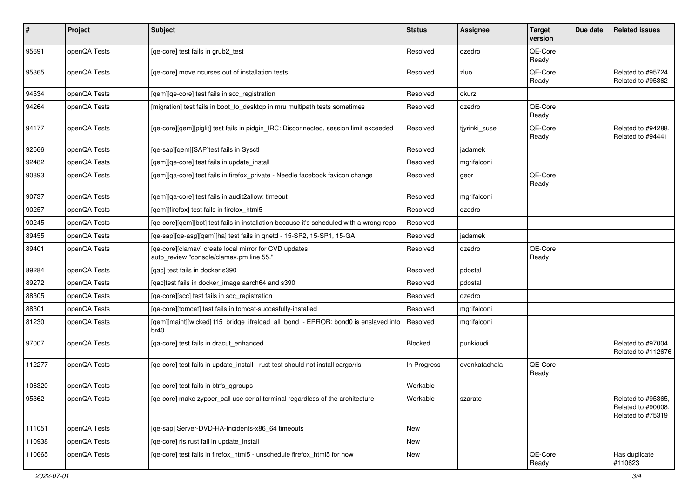| ∦      | Project      | Subject                                                                                           | <b>Status</b> | Assignee      | <b>Target</b><br>version | Due date | <b>Related issues</b>                                         |
|--------|--------------|---------------------------------------------------------------------------------------------------|---------------|---------------|--------------------------|----------|---------------------------------------------------------------|
| 95691  | openQA Tests | [ge-core] test fails in grub2 test                                                                | Resolved      | dzedro        | QE-Core:<br>Ready        |          |                                                               |
| 95365  | openQA Tests | [ge-core] move ncurses out of installation tests                                                  | Resolved      | zluo          | QE-Core:<br>Ready        |          | Related to #95724,<br>Related to #95362                       |
| 94534  | openQA Tests | [gem][ge-core] test fails in scc registration                                                     | Resolved      | okurz         |                          |          |                                                               |
| 94264  | openQA Tests | [migration] test fails in boot_to_desktop in mru multipath tests sometimes                        | Resolved      | dzedro        | QE-Core:<br>Ready        |          |                                                               |
| 94177  | openQA Tests | [qe-core][qem][piglit] test fails in pidgin_IRC: Disconnected, session limit exceeded             | Resolved      | tjyrinki_suse | QE-Core:<br>Ready        |          | Related to #94288.<br>Related to #94441                       |
| 92566  | openQA Tests | [qe-sap][qem][SAP]test fails in Sysctl                                                            | Resolved      | jadamek       |                          |          |                                                               |
| 92482  | openQA Tests | [qem][qe-core] test fails in update_install                                                       | Resolved      | mgrifalconi   |                          |          |                                                               |
| 90893  | openQA Tests | [gem][ga-core] test fails in firefox_private - Needle facebook favicon change                     | Resolved      | geor          | QE-Core:<br>Ready        |          |                                                               |
| 90737  | openQA Tests | [gem][ga-core] test fails in audit2allow: timeout                                                 | Resolved      | mgrifalconi   |                          |          |                                                               |
| 90257  | openQA Tests | [gem][firefox] test fails in firefox html5                                                        | Resolved      | dzedro        |                          |          |                                                               |
| 90245  | openQA Tests | [qe-core][qem][bot] test fails in installation because it's scheduled with a wrong repo           | Resolved      |               |                          |          |                                                               |
| 89455  | openQA Tests | [ge-sap][ge-asg][gem][ha] test fails in gnetd - 15-SP2, 15-SP1, 15-GA                             | Resolved      | jadamek       |                          |          |                                                               |
| 89401  | openQA Tests | [qe-core][clamav] create local mirror for CVD updates<br>auto_review:"console/clamav.pm line 55." | Resolved      | dzedro        | QE-Core:<br>Ready        |          |                                                               |
| 89284  | openQA Tests | [qac] test fails in docker s390                                                                   | Resolved      | pdostal       |                          |          |                                                               |
| 89272  | openQA Tests | [gac]test fails in docker image aarch64 and s390                                                  | Resolved      | pdostal       |                          |          |                                                               |
| 88305  | openQA Tests | [ge-core][scc] test fails in scc registration                                                     | Resolved      | dzedro        |                          |          |                                                               |
| 88301  | openQA Tests | [qe-core][tomcat] test fails in tomcat-succesfully-installed                                      | Resolved      | mgrifalconi   |                          |          |                                                               |
| 81230  | openQA Tests | [qem][maint][wicked] t15_bridge_ifreload_all_bond - ERROR: bond0 is enslaved into<br>br40         | Resolved      | mgrifalconi   |                          |          |                                                               |
| 97007  | openQA Tests | [qa-core] test fails in dracut_enhanced                                                           | Blocked       | punkioudi     |                          |          | Related to #97004,<br>Related to #112676                      |
| 112277 | openQA Tests | [qe-core] test fails in update_install - rust test should not install cargo/rls                   | In Progress   | dvenkatachala | QE-Core:<br>Ready        |          |                                                               |
| 106320 | openQA Tests | [qe-core] test fails in btrfs_qgroups                                                             | Workable      |               |                          |          |                                                               |
| 95362  | openQA Tests | [qe-core] make zypper_call use serial terminal regardless of the architecture                     | Workable      | szarate       |                          |          | Related to #95365,<br>Related to #90008,<br>Related to #75319 |
| 111051 | openQA Tests | [qe-sap] Server-DVD-HA-Incidents-x86_64 timeouts                                                  | New           |               |                          |          |                                                               |
| 110938 | openQA Tests | [ge-core] rls rust fail in update install                                                         | New           |               |                          |          |                                                               |
| 110665 | openQA Tests | [qe-core] test fails in firefox_html5 - unschedule firefox_html5 for now                          | New           |               | QE-Core:<br>Ready        |          | Has duplicate<br>#110623                                      |